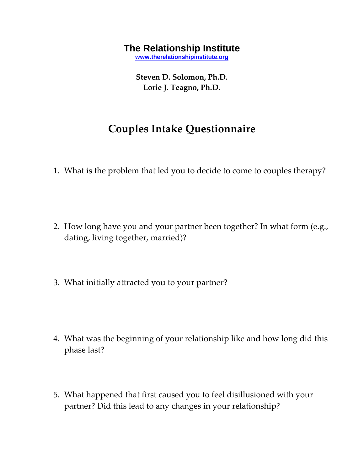## **The Relationship Institute**

**[www.therelationshipinstitute.org](http://www.therelationshipinstitute.org/)**

**Steven D. Solomon, Ph.D. Lorie J. Teagno, Ph.D.**

## **Couples Intake Questionnaire**

- 1. What is the problem that led you to decide to come to couples therapy?
- 2. How long have you and your partner been together? In what form (e.g., dating, living together, married)?
- 3. What initially attracted you to your partner?
- 4. What was the beginning of your relationship like and how long did this phase last?
- 5. What happened that first caused you to feel disillusioned with your partner? Did this lead to any changes in your relationship?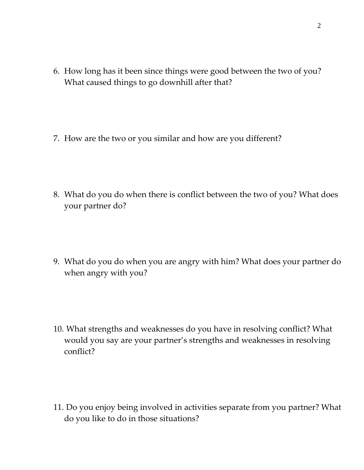- 6. How long has it been since things were good between the two of you? What caused things to go downhill after that?
- 7. How are the two or you similar and how are you different?
- 8. What do you do when there is conflict between the two of you? What does your partner do?
- 9. What do you do when you are angry with him? What does your partner do when angry with you?
- 10. What strengths and weaknesses do you have in resolving conflict? What would you say are your partner's strengths and weaknesses in resolving conflict?
- 11. Do you enjoy being involved in activities separate from you partner? What do you like to do in those situations?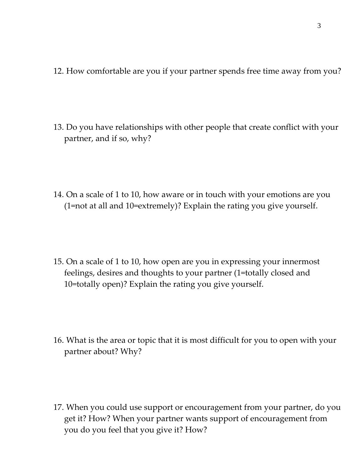- 12. How comfortable are you if your partner spends free time away from you?
- 13. Do you have relationships with other people that create conflict with your partner, and if so, why?
- 14. On a scale of 1 to 10, how aware or in touch with your emotions are you (1=not at all and 10=extremely)? Explain the rating you give yourself.
- 15. On a scale of 1 to 10, how open are you in expressing your innermost feelings, desires and thoughts to your partner (1=totally closed and 10=totally open)? Explain the rating you give yourself.
- 16. What is the area or topic that it is most difficult for you to open with your partner about? Why?
- 17. When you could use support or encouragement from your partner, do you get it? How? When your partner wants support of encouragement from you do you feel that you give it? How?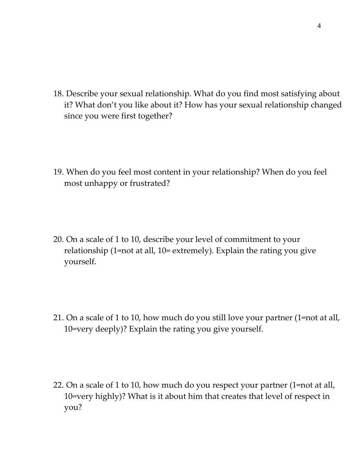18. Describe your sexual relationship. What do you find most satisfying about it? What don't you like about it? How has your sexual relationship changed since you were first together?

- 19. When do you feel most content in your relationship? When do you feel most unhappy or frustrated?
- 20. On a scale of 1 to 10, describe your level of commitment to your relationship (1=not at all, 10= extremely). Explain the rating you give yourself.
- 21. On a scale of 1 to 10, how much do you still love your partner (1=not at all, 10=very deeply)? Explain the rating you give yourself.
- 22. On a scale of 1 to 10, how much do you respect your partner (1=not at all, 10=very highly)? What is it about him that creates that level of respect in you?